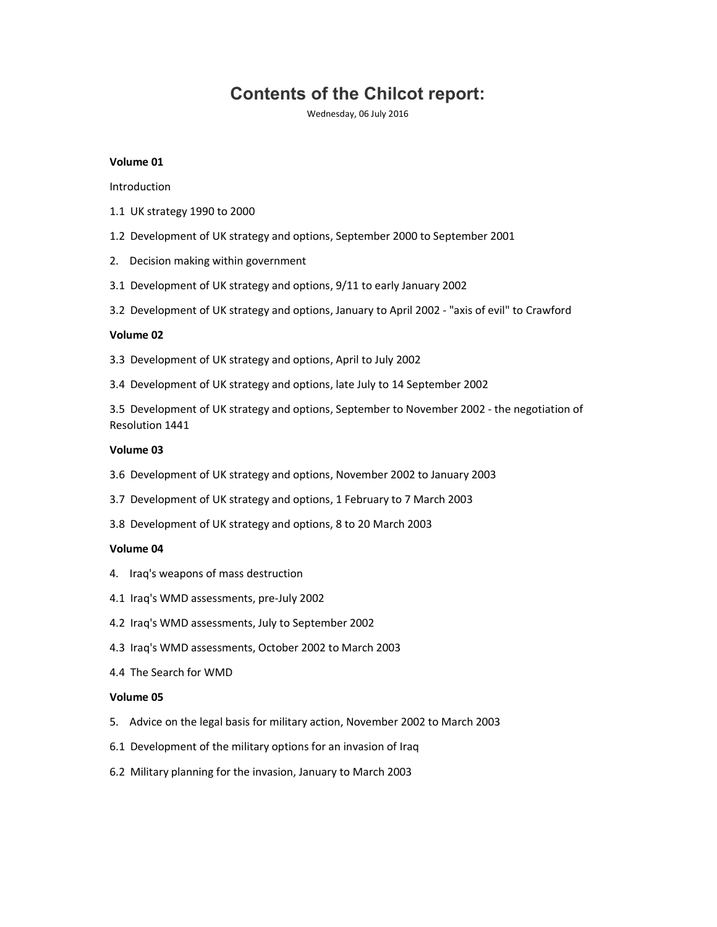# Contents of the Chilcot report:

Wednesday, 06 July 2016

# Volume 01

Introduction

- 1.1 UK strategy 1990 to 2000
- 1.2 Development of UK strategy and options, September 2000 to September 2001
- 2. Decision making within government
- 3.1 Development of UK strategy and options, 9/11 to early January 2002
- 3.2 Development of UK strategy and options, January to April 2002 "axis of evil" to Crawford

## Volume 02

- 3.3 Development of UK strategy and options, April to July 2002
- 3.4 Development of UK strategy and options, late July to 14 September 2002

3.5 Development of UK strategy and options, September to November 2002 - the negotiation of Resolution 1441

## Volume 03

- 3.6 Development of UK strategy and options, November 2002 to January 2003
- 3.7 Development of UK strategy and options, 1 February to 7 March 2003
- 3.8 Development of UK strategy and options, 8 to 20 March 2003

## Volume 04

- 4. Iraq's weapons of mass destruction
- 4.1 Iraq's WMD assessments, pre-July 2002
- 4.2 Iraq's WMD assessments, July to September 2002
- 4.3 Iraq's WMD assessments, October 2002 to March 2003
- 4.4 The Search for WMD

# Volume 05

- 5. Advice on the legal basis for military action, November 2002 to March 2003
- 6.1 Development of the military options for an invasion of Iraq
- 6.2 Military planning for the invasion, January to March 2003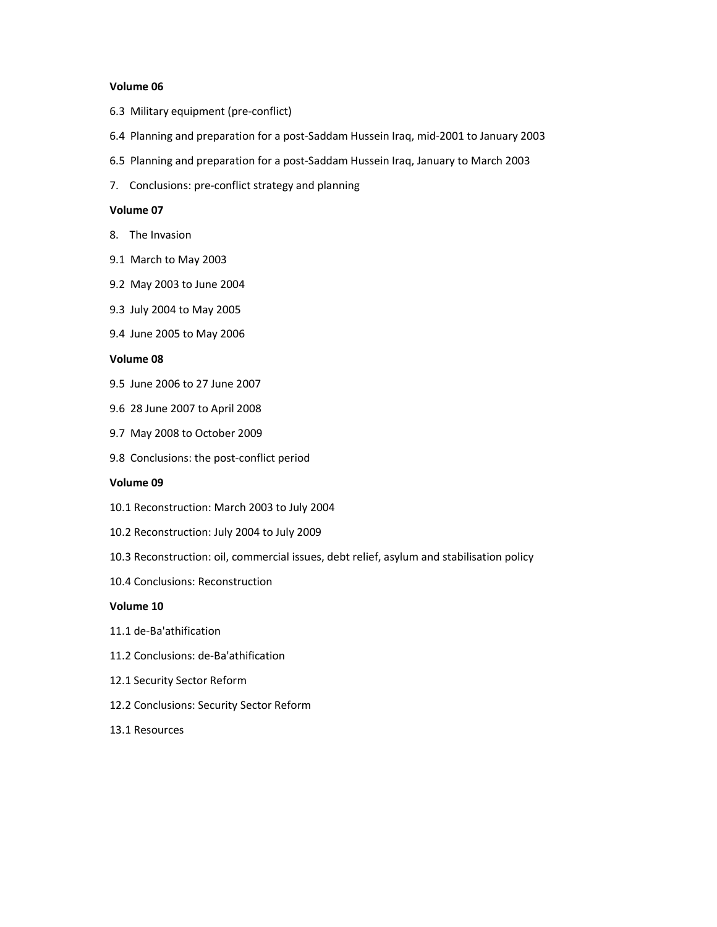## Volume 06

- 6.3 Military equipment (pre-conflict)
- 6.4 Planning and preparation for a post-Saddam Hussein Iraq, mid-2001 to January 2003
- 6.5 Planning and preparation for a post-Saddam Hussein Iraq, January to March 2003
- 7. Conclusions: pre-conflict strategy and planning

#### Volume 07

- 8. The Invasion
- 9.1 March to May 2003
- 9.2 May 2003 to June 2004
- 9.3 July 2004 to May 2005
- 9.4 June 2005 to May 2006

## Volume 08

- 9.5 June 2006 to 27 June 2007
- 9.6 28 June 2007 to April 2008
- 9.7 May 2008 to October 2009
- 9.8 Conclusions: the post-conflict period

#### Volume 09

- 10.1 Reconstruction: March 2003 to July 2004
- 10.2 Reconstruction: July 2004 to July 2009
- 10.3 Reconstruction: oil, commercial issues, debt relief, asylum and stabilisation policy
- 10.4 Conclusions: Reconstruction

### Volume 10

- 11.1 de-Ba'athification
- 11.2 Conclusions: de-Ba'athification
- 12.1 Security Sector Reform
- 12.2 Conclusions: Security Sector Reform
- 13.1 Resources